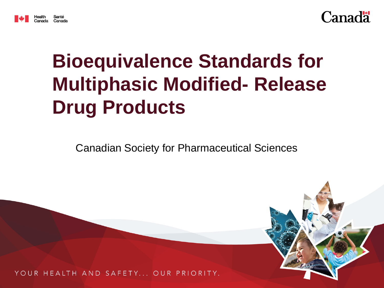



## **Bioequivalence Standards for Multiphasic Modified- Release Drug Products**

Canadian Society for Pharmaceutical Sciences

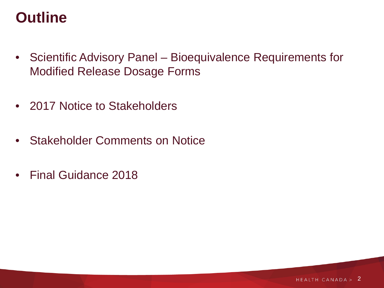#### **Outline**

- Scientific Advisory Panel Bioequivalence Requirements for Modified Release Dosage Forms
- 2017 Notice to Stakeholders
- Stakeholder Comments on Notice
- Final Guidance 2018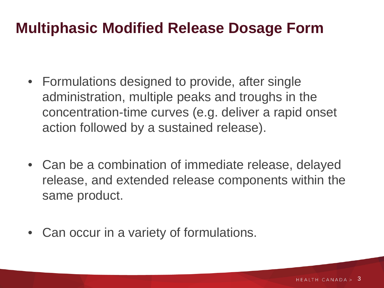#### **Multiphasic Modified Release Dosage Form**

- Formulations designed to provide, after single administration, multiple peaks and troughs in the concentration-time curves (e.g. deliver a rapid onset action followed by a sustained release).
- Can be a combination of immediate release, delayed release, and extended release components within the same product.
- Can occur in a variety of formulations.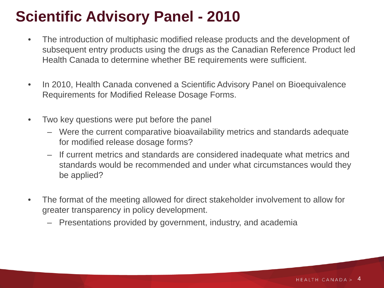### **Scientific Advisory Panel - 2010**

- The introduction of multiphasic modified release products and the development of subsequent entry products using the drugs as the Canadian Reference Product led Health Canada to determine whether BE requirements were sufficient.
- In 2010, Health Canada convened a Scientific Advisory Panel on Bioequivalence Requirements for Modified Release Dosage Forms.
- Two key questions were put before the panel
	- Were the current comparative bioavailability metrics and standards adequate for modified release dosage forms?
	- If current metrics and standards are considered inadequate what metrics and standards would be recommended and under what circumstances would they be applied?
- The format of the meeting allowed for direct stakeholder involvement to allow for greater transparency in policy development.
	- Presentations provided by government, industry, and academia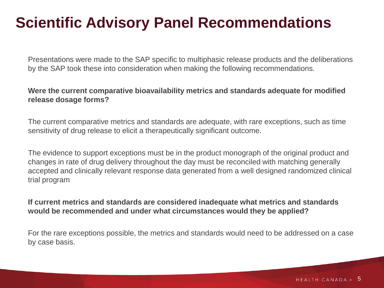#### **Scientific Advisory Panel Recommendations**

Presentations were made to the SAP specific to multiphasic release products and the deliberations by the SAP took these into consideration when making the following recommendations.

#### **Were the current comparative bioavailability metrics and standards adequate for modified release dosage forms?**

The current comparative metrics and standards are adequate, with rare exceptions, such as time sensitivity of drug release to elicit a therapeutically significant outcome.

The evidence to support exceptions must be in the product monograph of the original product and changes in rate of drug delivery throughout the day must be reconciled with matching generally accepted and clinically relevant response data generated from a well designed randomized clinical trial program

**If current metrics and standards are considered inadequate what metrics and standards would be recommended and under what circumstances would they be applied?**

For the rare exceptions possible, the metrics and standards would need to be addressed on a case by case basis.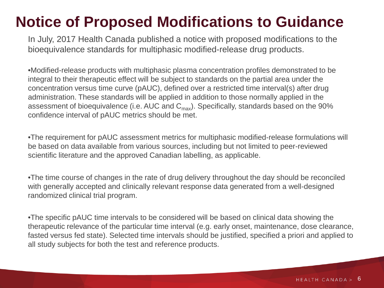#### **Notice of Proposed Modifications to Guidance**

In July, 2017 Health Canada published a notice with proposed modifications to the bioequivalence standards for multiphasic modified-release drug products.

•Modified-release products with multiphasic plasma concentration profiles demonstrated to be integral to their therapeutic effect will be subject to standards on the partial area under the concentration versus time curve (pAUC), defined over a restricted time interval(s) after drug administration. These standards will be applied in addition to those normally applied in the assessment of bioequivalence (i.e. AUC and  $C_{\text{max}}$ ). Specifically, standards based on the 90% confidence interval of pAUC metrics should be met.

•The requirement for pAUC assessment metrics for multiphasic modified-release formulations will be based on data available from various sources, including but not limited to peer-reviewed scientific literature and the approved Canadian labelling, as applicable.

•The time course of changes in the rate of drug delivery throughout the day should be reconciled with generally accepted and clinically relevant response data generated from a well-designed randomized clinical trial program.

•The specific pAUC time intervals to be considered will be based on clinical data showing the therapeutic relevance of the particular time interval (e.g. early onset, maintenance, dose clearance, fasted versus fed state). Selected time intervals should be justified, specified a priori and applied to all study subjects for both the test and reference products.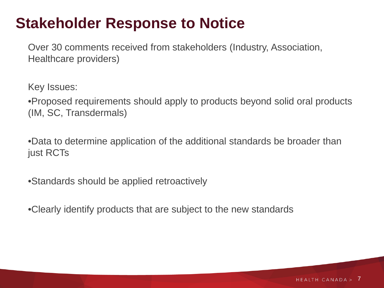#### **Stakeholder Response to Notice**

Over 30 comments received from stakeholders (Industry, Association, Healthcare providers)

Key Issues:

•Proposed requirements should apply to products beyond solid oral products (IM, SC, Transdermals)

•Data to determine application of the additional standards be broader than just RCTs

•Standards should be applied retroactively

•Clearly identify products that are subject to the new standards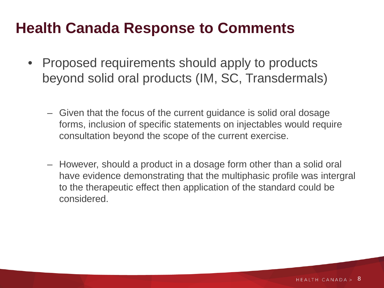- Proposed requirements should apply to products beyond solid oral products (IM, SC, Transdermals)
	- Given that the focus of the current guidance is solid oral dosage forms, inclusion of specific statements on injectables would require consultation beyond the scope of the current exercise.
	- However, should a product in a dosage form other than a solid oral have evidence demonstrating that the multiphasic profile was intergral to the therapeutic effect then application of the standard could be considered.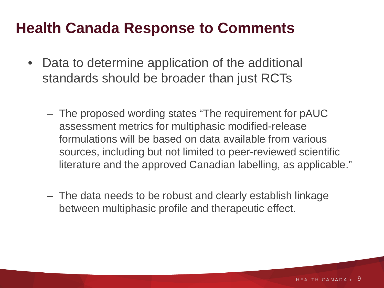- Data to determine application of the additional standards should be broader than just RCTs
	- The proposed wording states "The requirement for pAUC assessment metrics for multiphasic modified-release formulations will be based on data available from various sources, including but not limited to peer-reviewed scientific literature and the approved Canadian labelling, as applicable."
	- The data needs to be robust and clearly establish linkage between multiphasic profile and therapeutic effect.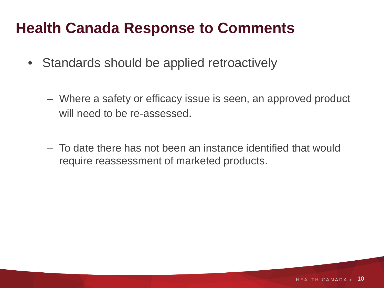- Standards should be applied retroactively
	- Where a safety or efficacy issue is seen, an approved product will need to be re-assessed.
	- To date there has not been an instance identified that would require reassessment of marketed products.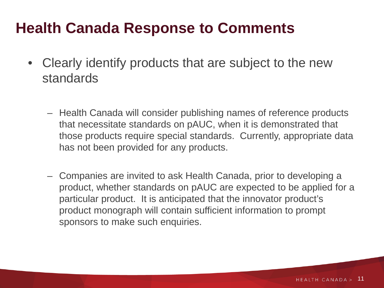- Clearly identify products that are subject to the new standards
	- Health Canada will consider publishing names of reference products that necessitate standards on pAUC, when it is demonstrated that those products require special standards. Currently, appropriate data has not been provided for any products.
	- Companies are invited to ask Health Canada, prior to developing a product, whether standards on pAUC are expected to be applied for a particular product. It is anticipated that the innovator product's product monograph will contain sufficient information to prompt sponsors to make such enquiries.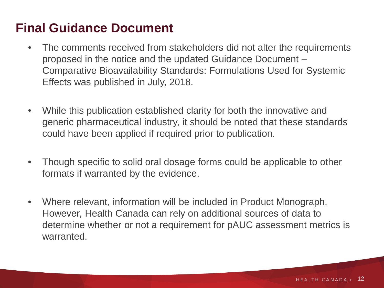#### **Final Guidance Document**

- The comments received from stakeholders did not alter the requirements proposed in the notice and the updated Guidance Document – Comparative Bioavailability Standards: Formulations Used for Systemic Effects was published in July, 2018.
- While this publication established clarity for both the innovative and generic pharmaceutical industry, it should be noted that these standards could have been applied if required prior to publication.
- Though specific to solid oral dosage forms could be applicable to other formats if warranted by the evidence.
- Where relevant, information will be included in Product Monograph. However, Health Canada can rely on additional sources of data to determine whether or not a requirement for pAUC assessment metrics is warranted.